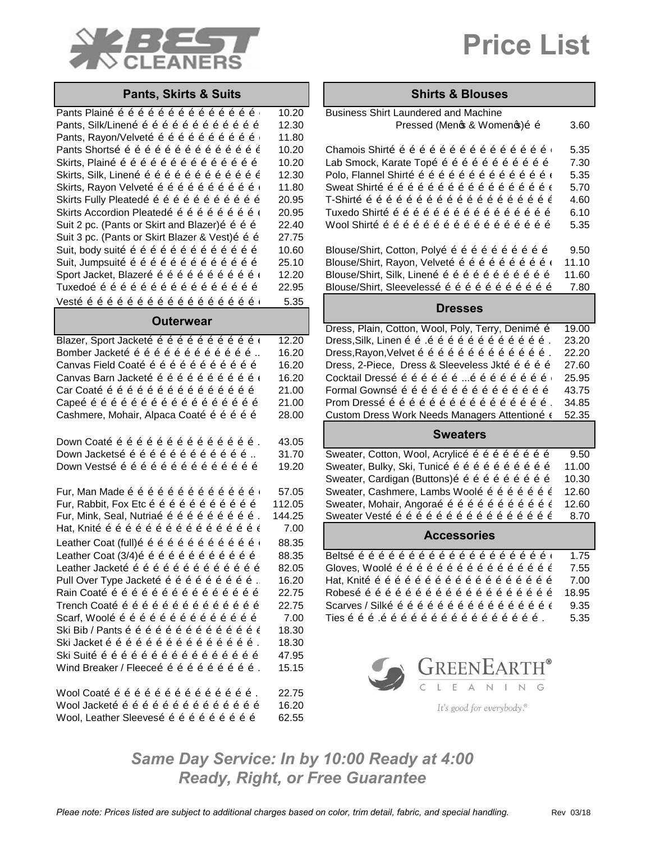

# **Price List**

### **Pants, Skirts & Suits**

| Pants Plaino o o o o o o o o o o o o o o o i    | 10.20 | <b>Business Shirt Laundered and Machine</b> |
|-------------------------------------------------|-------|---------------------------------------------|
| Pants, Silk/Lineno o o o o o o o o o o o o o    | 12.30 | Pressed (Meno & Wome                        |
| Pants, Rayon/Velvető ő ő ő ő ő ő ő ő ő í        | 11.80 |                                             |
| Pants Shortsõ õ õ õ õ õ õ õ õ õ õ õ õ õ õ õ     | 10.20 | Chamois Shirto o o o o o o o o o o o        |
| Skirts, Plaino o o o o o o o o o o o o o o o    | 10.20 | Lab Smock, Karate Topo o o o o o o o        |
| Skirts, Silk, Lineno o o o o o o o o o o o o o  | 12.30 | Polo, Flannel Shirtő ő ő ő ő ő ő ő ő ő      |
| Skirts, Rayon Velvető ő ő ő ő ő ő ő ő ő ő í     | 11.80 | Sweat Shirto o o o o o o o o o o o o o      |
| Skirts Fully Pleatedo o o o o o o o o o o o o   | 20.95 | T-Shirtõ õ õ õ õ õ õ õ õ õ õ õ õ õ õ        |
| Skirts Accordion Pleatedo o o o o o o o o o o c | 20.95 | Tuxedo Shirtõ õ õ õ õ õ õ õ õ õ õ õ õ       |
| Suit 2 pc. (Pants or Skirt and Blazer) õ õ õ õ  | 22.40 | Wool Shirto o o o o o o o o o o o o o o     |
| Suit 3 pc. (Pants or Skirt Blazer & Vest) õ õ õ | 27.75 |                                             |
| Suit, body suitõ õ õ õ õ õ õ õ õ õ õ õ õ õ õ    | 10.60 | Blouse/Shirt, Cotton, Polyo o o o o o o     |
| Suit, Jumpsuito o o o o o o o o o o o o o o     | 25.10 | Blouse/Shirt, Rayon, Velvető ő ő ő ő ő      |
| Sport Jacket, Blazero o o o o o o o o o o o i   | 12.20 | Blouse/Shirt, Silk, Lineno o o o o o o o    |
| Tuxedoõ õ õ õ õ õ õ õ õ õ õ õ õ õ õ õ õ         | 22.95 | Blouse/Shirt, Sleevelessõ õ õ õ õ õ õ       |
|                                                 | 5.35  | Draccac                                     |

### **Outerwear**

| Blazer, Sport Jackető ő ő ő ő ő ő ő ő ő ő í | 12.2 <sub>0</sub> |
|---------------------------------------------|-------------------|
| Bomber Jackető ő ő ő ő ő ő ő ő ő ő ő        | 16.20             |
| Canvas Field Coato o o o o o o o o o o o o  | 16.20             |
| Canvas Barn Jackető ő ő ő ő ő ő ő ő ő ő í   | 16.20             |
| Car Coatõ õ õ õ õ õ õ õ õ õ õ õ õ õ õ õ     | 21.0              |
| Capeõ õ õ õ õ õ õ õ õ õ õ õ õ õ õ õ õ õ õ   | 21.0              |
| Cashmere, Mohair, Alpaca Coatõ õ õ õ õ õ    | 28.0              |
|                                             |                   |
|                                             |                   |

Wool Coato o o o o o o o o o o o o o o o c z 22.75 Wool Jackető ő ő ő ő ő ő ő ő ő ő ő ő ő 16.20 Wool, Leather Sleeveso o o o o o o o o o 62.55

| <b>Shirts &amp; Blouses</b> |  |  |  |
|-----------------------------|--|--|--|
|-----------------------------|--|--|--|

| Pants, Skirts & Suits                          |        | Shirts & Biouses                                                                                                                                                                                                                                                                                                                         |       |
|------------------------------------------------|--------|------------------------------------------------------------------------------------------------------------------------------------------------------------------------------------------------------------------------------------------------------------------------------------------------------------------------------------------|-------|
| Pants Plainõõõõõõõõõõõõõõõ                     | 10.20  | <b>Business Shirt Laundered and Machine</b>                                                                                                                                                                                                                                                                                              |       |
| Pants, Silk/Linenõõõõõõõõõõõõõ                 | 12.30  | Pressed (Menos & Womenos) õ õ                                                                                                                                                                                                                                                                                                            | 3.60  |
| Pants, Rayon/Velvetõ õ õ õ õ õ õ õ õ õ õ õ     | 11.80  |                                                                                                                                                                                                                                                                                                                                          |       |
| Pants Shortsõ õ õ õ õ õ õ õ õ õ õ õ õ õ õ      | 10.20  | Chamois Shirtõ õ õ õ õ õ õ õ õ õ õ õ õ õ õ õ õ õ                                                                                                                                                                                                                                                                                         | 5.35  |
| Skirts, Plainõõõõõõõõõõõõõõõõ                  | 10.20  | Lab Smock, Karate Topo o o o o o o o o o o o o                                                                                                                                                                                                                                                                                           | 7.30  |
| Skirts, Silk, Linenõõõõõõõõõõõõõ               | 12.30  | Polo, Flannel Shirto o o o o o o o o o o o o o o o i                                                                                                                                                                                                                                                                                     | 5.35  |
| Skirts, Rayon Velvető ő ő ő ő ő ő ő ő ő ő i    | 11.80  |                                                                                                                                                                                                                                                                                                                                          | 5.70  |
| Skirts Fully Pleatedo o o o o o o o o o o o o  | 20.95  |                                                                                                                                                                                                                                                                                                                                          | 4.60  |
| Skirts Accordion Pleatedõ õ õ õ õ õ õ õ õ i    | 20.95  | Tuxedo Shirto o o o o o o o o o o o o o o o o o                                                                                                                                                                                                                                                                                          | 6.10  |
| Suit 2 pc. (Pants or Skirt and Blazer) õ õ õ õ | 22.40  | Wool Shirto o o o o o o o o o o o o o o o o o o                                                                                                                                                                                                                                                                                          | 5.35  |
| Suit 3 pc. (Pants or Skirt Blazer & Vest)o o o | 27.75  |                                                                                                                                                                                                                                                                                                                                          |       |
| Suit, body suitõ õ õ õ õ õ õ õ õ õ õ õ õ õ     | 10.60  | Blouse/Shirt, Cotton, Polyo o o o o o o o o o o o                                                                                                                                                                                                                                                                                        | 9.50  |
| Suit, Jumpsuitõõõõõõõõõõõõõõ                   | 25.10  | Blouse/Shirt, Rayon, Velvető ő ő ő ő ő ő ő ő ő í                                                                                                                                                                                                                                                                                         | 11.10 |
| Sport Jacket, Blazero o o o o o o o o o o o o  | 12.20  | Blouse/Shirt, Silk, Lineno o o o o o o o o o o o o                                                                                                                                                                                                                                                                                       | 11.60 |
| Tuxedoõ õ õ õ õ õ õ õ õ õ õ õ õ õ õ õ õ        | 22.95  | Blouse/Shirt, Sleevelesso o o o o o o o o o o o o                                                                                                                                                                                                                                                                                        | 7.80  |
| Vestõõõõõõõõõõõõõõõõõõõõi                      | 5.35   | <b>Dresses</b>                                                                                                                                                                                                                                                                                                                           |       |
| <b>Outerwear</b>                               |        |                                                                                                                                                                                                                                                                                                                                          |       |
|                                                |        | Dress, Plain, Cotton, Wool, Poly, Terry, Denimõ õ                                                                                                                                                                                                                                                                                        | 19.00 |
| Blazer, Sport Jackető ő ő ő ő ő ő ő ő ő ő í    | 12.20  | Dress, Silk, Linen õõ.õõõõõõõõõõõ.                                                                                                                                                                                                                                                                                                       | 23.20 |
| Bomber Jackető ő ő ő ő ő ő ő ő ő ő ő           | 16.20  | Dress, Rayon, Velvet õ õ õ õ õ õ õ õ õ õ õ õ õ õ.                                                                                                                                                                                                                                                                                        | 22.20 |
| Canvas Field Coatõ õ õ õ õ õ õ õ õ õ õ õ       | 16.20  | Dress, 2-Piece, Dress & Sleeveless Jkto o o o o o                                                                                                                                                                                                                                                                                        | 27.60 |
| Canvas Barn Jackető ő ő ő ő ő ő ő ő ő ő í      | 16.20  | Cocktail Dresso o o o o o o o o o o o o o o o i                                                                                                                                                                                                                                                                                          | 25.95 |
| Car Coatõ õ õ õ õ õ õ õ õ õ õ õ õ õ õ õ        | 21.00  | Formal Gownso o o o o o o o o o o o o o o o o                                                                                                                                                                                                                                                                                            | 43.75 |
|                                                | 21.00  | Prom Dressõ õ õ õ õ õ õ õ õ õ õ õ õ õ õ õ õ õ.                                                                                                                                                                                                                                                                                           | 34.85 |
| Cashmere, Mohair, Alpaca Coatõ õ õ õ õ õ       | 28.00  | Custom Dress Work Needs Managers Attentiono à                                                                                                                                                                                                                                                                                            | 52.35 |
| Down Coatõ õ õ õ õ õ õ õ õ õ õ õ õ õ õ õ .     | 43.05  | <b>Sweaters</b>                                                                                                                                                                                                                                                                                                                          |       |
| Down Jacketsõ õ õ õ õ õ õ õ õ õ õ õ õ …        | 31.70  | Sweater, Cotton, Wool, Acrylico o o o o o o o o o                                                                                                                                                                                                                                                                                        | 9.50  |
| Down Vestsõ õ õ õ õ õ õ õ õ õ õ õ õ õ õ        | 19.20  | Sweater, Bulky, Ski, Tunicõ õ õ õ õ õ õ õ õ õ õ                                                                                                                                                                                                                                                                                          | 11.00 |
|                                                |        | Sweater, Cardigan (Buttons) õ õ õ õ õ õ õ õ õ õ õ                                                                                                                                                                                                                                                                                        | 10.30 |
| Fur, Man Made õ õ õ õ õ õ õ õ õ õ õ õ õ õ      | 57.05  | Sweater, Cashmere, Lambs Woolo o o o o o o o c                                                                                                                                                                                                                                                                                           | 12.60 |
| Fur, Rabbit, Fox Etc õ õ õ õ õ õ õ õ õ õ õ     | 112.05 | Sweater, Mohair, Angoraõ õ õ õ õ õ õ õ õ õ õ õ č                                                                                                                                                                                                                                                                                         | 12.60 |
| Fur, Mink, Seal, Nutriao o o o o o o o o o .   | 144.25 | Sweater Vestõ õ õ õ õ õ õ õ õ õ õ õ õ õ õ õ õ õ                                                                                                                                                                                                                                                                                          | 8.70  |
| Hat, Knitõ õ õ õ õ õ õ õ õ õ õ õ õ õ õ õ õ ĉ   | 7.00   |                                                                                                                                                                                                                                                                                                                                          |       |
| Leather Coat (full)õõõõõõõõõõõõõ               | 88.35  | <b>Accessories</b>                                                                                                                                                                                                                                                                                                                       |       |
| Leather Coat (3/4) õ õ õ õ õ õ õ õ õ õ õ õ õ õ | 88.35  |                                                                                                                                                                                                                                                                                                                                          | 1.75  |
| Leather Jackető ő ő ő ő ő ő ő ő ő ő ő ő        | 82.05  | Gloves, Woolõ õ õ õ õ õ õ õ õ õ õ õ õ õ õ õ õ õ                                                                                                                                                                                                                                                                                          | 7.55  |
| Pull Over Type Jackető ő ő ő ő ő ő ő ő ő       | 16.20  |                                                                                                                                                                                                                                                                                                                                          | 7.00  |
| Rain Coatõ õ õ õ õ õ õ õ õ õ õ õ õ õ õ õ       | 22.75  |                                                                                                                                                                                                                                                                                                                                          | 18.95 |
| Trench Coatõ õ õ õ õ õ õ õ õ õ õ õ õ õ õ       | 22.75  | Scarves / Silko o o o o o o o o o o o o o o o o c                                                                                                                                                                                                                                                                                        | 9.35  |
| Scarf, Woolõ õ õ õ õ õ õ õ õ õ õ õ õ õ õ õ     | 7.00   | Ties $\tilde{o}$ $\tilde{o}$ $\tilde{o}$ $\tilde{o}$ $\tilde{o}$ $\tilde{o}$ $\tilde{o}$ $\tilde{o}$ $\tilde{o}$ $\tilde{o}$ $\tilde{o}$ $\tilde{o}$ $\tilde{o}$ $\tilde{o}$ $\tilde{o}$ $\tilde{o}$ $\tilde{o}$ $\tilde{o}$ $\tilde{o}$ $\tilde{o}$ $\tilde{o}$ $\tilde{o}$ $\tilde{o}$ $\tilde{o}$ $\tilde{o}$ $\tilde{o}$ $\tilde{o}$ | 5.35  |
| Ski Bib / Pants õ õ õ õ õ õ õ õ õ õ õ õ õ õ õ  | 18.30  |                                                                                                                                                                                                                                                                                                                                          |       |
| Ski Jacket õ õ õ õ õ õ õ õ õ õ õ õ õ õ õ õ .   | 18.30  |                                                                                                                                                                                                                                                                                                                                          |       |
| Ski Suitõ õ õ õ õ õ õ õ õ õ õ õ õ õ õ õ õ      | 47.95  |                                                                                                                                                                                                                                                                                                                                          |       |
| Wind Breaker / Fleeceõ õ õ õ õ õ õ õ õ õ õ .   | 15.15  | $G$ REENEARTH®                                                                                                                                                                                                                                                                                                                           |       |
|                                                |        |                                                                                                                                                                                                                                                                                                                                          |       |
|                                                |        |                                                                                                                                                                                                                                                                                                                                          |       |

It's good for everybody.<sup>®</sup>

*Same Day Service: In by 10:00 Ready at 4:00 Ready, Right, or Free Guarantee*